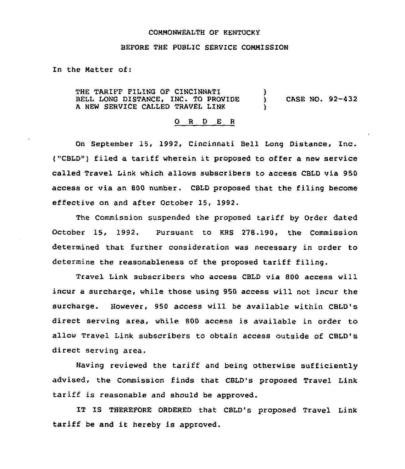## COMMONWEALTH OF KENTUCKY

## BEFORE THE PUBLIC SERVICE CONMISSION

In the Natter of:

THE TARIFF FILING OF CINCINNATI (1)<br>BELL LONG DISTANCE, INC. TO PROVIDE (1) BELL LONG DISTANCE, INC. TO PROVIDE ) CASE NO. 92-432 <sup>A</sup> NEW SERVICE CALLED TRAVEL LINK )

## 0 <sup>R</sup> <sup>D</sup> E <sup>R</sup>

On September 15, 1992, Cincinnati Bell Long Distance, Inc. ("CBLD") filed a tariff wherein it proposed to offer a new service called Travel Link which allows subscribers to access CBID via 950 access or via an 800 number. CBLD proposed that the filing become effective on and after October 15, 1992.

The Commission suspended the proposed tariff by Order dated October 15, 1992. Pursuant to KRS 278.190, the Commission determined that further consideration was necessary in order to determine the reasonableness of the proposed tariff filing.

Travel Link subscribers who access CBLD via 800 access will incur a surcharge, while those using 950 access will not incur the surcharge. However, 950 access will be available within CBLD's direct serving area, while 800 access is available in order to allow Travel Link subscribers to obtain access outside of CBLD's direct serving area.

Having reviewed the tariff and being otherwise sufficiently advised, the Commission finds that CBLD's proposed Travel Link tariff is reasonable and should be approved.

IT IS THEREFORE ORDERED that CBLD's proposed Travel Link tariff be and it hereby is approved.